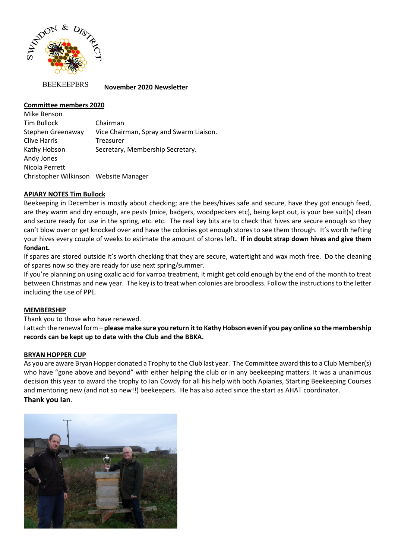

**BEEKEEPERS** 

#### **November 2020 Newsletter**

## **Committee members 2020**

Mike Benson Tim Bullock Chairman Stephen Greenaway Vice Chairman, Spray and Swarm Liaison. Clive Harris Treasurer Kathy Hobson Secretary, Membership Secretary. Andy Jones Nicola Perrett Christopher Wilkinson Website Manager

## **APIARY NOTES Tim Bullock**

Beekeeping in December is mostly about checking; are the bees/hives safe and secure, have they got enough feed, are they warm and dry enough, are pests (mice, badgers, woodpeckers etc), being kept out, is your bee suit(s) clean and secure ready for use in the spring, etc. etc. The real key bits are to check that hives are secure enough so they can't blow over or get knocked over and have the colonies got enough stores to see them through. It's worth hefting your hives every couple of weeks to estimate the amount of stores left**. If in doubt strap down hives and give them fondant.**

If spares are stored outside it's worth checking that they are secure, watertight and wax moth free. Do the cleaning of spares now so they are ready for use next spring/summer.

If you're planning on using oxalic acid for varroa treatment, it might get cold enough by the end of the month to treat between Christmas and new year. The key is to treat when colonies are broodless. Follow the instructions to the letter including the use of PPE.

## **MEMBERSHIP**

Thank you to those who have renewed.

I attach the renewal form – **please make sure you return it to Kathy Hobson even if you pay online so the membership records can be kept up to date with the Club and the BBKA.** 

#### **BRYAN HOPPER CUP**

As you are aware Bryan Hopper donated a Trophy to the Club last year. The Committee award this to a Club Member(s) who have "gone above and beyond" with either helping the club or in any beekeeping matters. It was a unanimous decision this year to award the trophy to Ian Cowdy for all his help with both Apiaries, Starting Beekeeping Courses and mentoring new (and not so new!!) beekeepers. He has also acted since the start as AHAT coordinator. **Thank you Ian**.